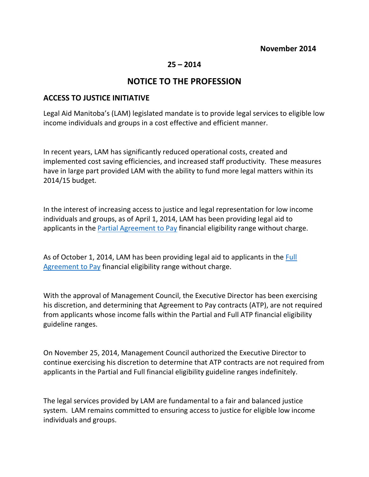## **25 – 2014**

## **NOTICE TO THE PROFESSION**

## **ACCESS TO JUSTICE INITIATIVE**

Legal Aid Manitoba's (LAM) legislated mandate is to provide legal services to eligible low income individuals and groups in a cost effective and efficient manner.

In recent years, LAM has significantly reduced operational costs, created and implemented cost saving efficiencies, and increased staff productivity. These measures have in large part provided LAM with the ability to fund more legal matters within its 2014/15 budget.

In the interest of increasing access to justice and legal representation for low income individuals and groups, as of April 1, 2014, LAM has been providing legal aid to applicants in the [Partial Agreement to Pay](#page-2-0) financial eligibility range without charge.

As of October 1, 2014, LAM has been providing legal aid to applicants in the Full [Agreement to Pay](#page-3-0) financial eligibility range without charge.

With the approval of Management Council, the Executive Director has been exercising his discretion, and determining that Agreement to Pay contracts (ATP), are not required from applicants whose income falls within the Partial and Full ATP financial eligibility guideline ranges.

On November 25, 2014, Management Council authorized the Executive Director to continue exercising his discretion to determine that ATP contracts are not required from applicants in the Partial and Full financial eligibility guideline ranges indefinitely.

The legal services provided by LAM are fundamental to a fair and balanced justice system. LAM remains committed to ensuring access to justice for eligible low income individuals and groups.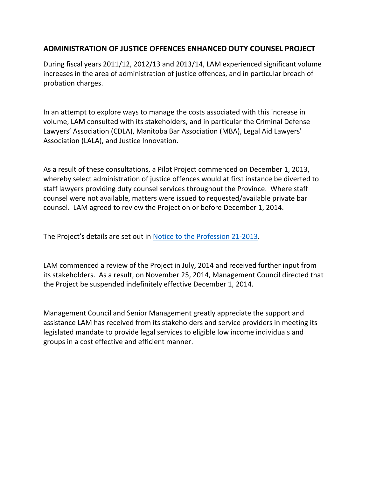## **ADMINISTRATION OF JUSTICE OFFENCES ENHANCED DUTY COUNSEL PROJECT**

During fiscal years 2011/12, 2012/13 and 2013/14, LAM experienced significant volume increases in the area of administration of justice offences, and in particular breach of probation charges.

In an attempt to explore ways to manage the costs associated with this increase in volume, LAM consulted with its stakeholders, and in particular the Criminal Defense Lawyers' Association (CDLA), Manitoba Bar Association (MBA), Legal Aid Lawyers' Association (LALA), and Justice Innovation.

As a result of these consultations, a Pilot Project commenced on December 1, 2013, whereby select administration of justice offences would at first instance be diverted to staff lawyers providing duty counsel services throughout the Province. Where staff counsel were not available, matters were issued to requested/available private bar counsel. LAM agreed to review the Project on or before December 1, 2014.

The Project's details are set out in [Notice to the Profession 21-2013.](http://www.legalaid.mb.ca/pdf/np_21_2013.pdf)

LAM commenced a review of the Project in July, 2014 and received further input from its stakeholders. As a result, on November 25, 2014, Management Council directed that the Project be suspended indefinitely effective December 1, 2014.

Management Council and Senior Management greatly appreciate the support and assistance LAM has received from its stakeholders and service providers in meeting its legislated mandate to provide legal services to eligible low income individuals and groups in a cost effective and efficient manner.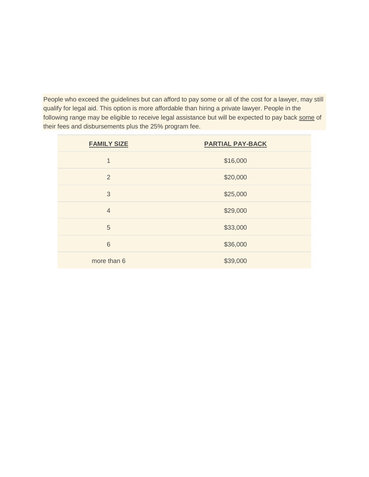<span id="page-2-0"></span>People who exceed the guidelines but can afford to pay some or all of the cost for a lawyer, may still qualify for legal aid. This option is more affordable than hiring a private lawyer. People in the following range may be eligible to receive legal assistance but will be expected to pay back some of their fees and disbursements plus the 25% program fee.

| <b>FAMILY SIZE</b> | <b>PARTIAL PAY-BACK</b> |
|--------------------|-------------------------|
| 1                  | \$16,000                |
| $\overline{2}$     | \$20,000                |
| 3                  | \$25,000                |
| $\overline{4}$     | \$29,000                |
| 5                  | \$33,000                |
| 6                  | \$36,000                |
| more than 6        | \$39,000                |